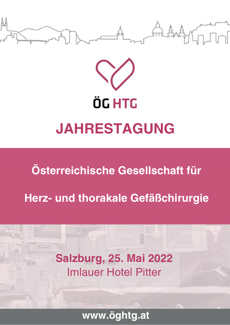



**Österreichische Gesellschaft für** 

**Herz- und thorakale Gefäßchirurgie**

**Salzburg, 2. Mai 202** Imlauer Hotel Pitter

**www.öghtg.at www.öghtg.at**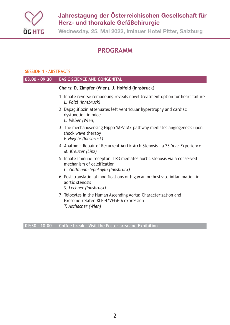

**Wednesday, 25. Mai 2022, Imlauer Hotel Pitter, Salzburg**

## **PROGRAMM**

#### **SESSION 1 - ABSTRACTS**

| $08.00 - 09:30$ | <b>BASIC SCIENCE AND CONGENITAL</b>                                                                                                        |
|-----------------|--------------------------------------------------------------------------------------------------------------------------------------------|
|                 | Chairs: D. Zimpfer (Wien), J. Holfeld (Innsbruck)                                                                                          |
|                 | 1. Innate reverse remodeling reveals novel treatment option for heart failure<br>L. Pölzl (Innsbruck)                                      |
|                 | 2. Dapagliflozin attenuates left ventricular hypertrophy and cardiac<br>dysfunction in mice<br>L. Weber (Wien)                             |
|                 | 3. The mechanosensing Hippo YAP/TAZ pathway mediates angiogenesis upon<br>shock wave therapy<br>F. Nägele (Innsbruck)                      |
|                 | 4. Anatomic Repair of Recurrent Aortic Arch Stenosis - a 23-Year Experience<br>M. Kreuzer (Linz)                                           |
|                 | 5. Innate immune receptor TLR3 mediates aortic stenosis via a conserved<br>mechanism of calcification<br>C. Gollmann-Tepeköylü (Innsbruck) |
|                 | 6. Post-translational modifications of biglycan orchestrate inflammation in<br>aortic stenosis<br>S. Lechner (Innsbruck)                   |
|                 | 7. Telocytes in the Human Ascending Aorta: Characterization and<br>Exosome-related KLF-4/VEGF-A expression<br>T. Aschacher (Wien)          |
|                 |                                                                                                                                            |

**09:30 – 10:00 Coffee break – Visit the Poster area and Exhibition**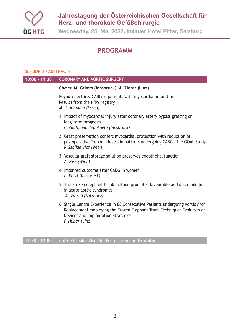

**Wednesday, 25. Mai 2022, Imlauer Hotel Pitter, Salzburg**

## **PROGRAMM**

#### **SESSION 2 - ABSTRACTS**

| <b>CORONARY AND AORTIC SURGERY</b>                                                                                                                                                                                 |
|--------------------------------------------------------------------------------------------------------------------------------------------------------------------------------------------------------------------|
| Chairs: M. Grimm (Innsbruck), A. Zierer (Linz)                                                                                                                                                                     |
| Keynote lecture: CABG in patients with myocardial infarction:<br>Results from the NRW registry<br>M. Thielmann (Essen)                                                                                             |
| 1. Impact of myocardial injury after coronary artery bypass grafting on<br>long-term prognosis<br>C. Gollmann-Tepeköylü (Innsbruck)                                                                                |
| 2. Graft preservation confers myocardial protection with reduction of<br>postoperative Troponin levels in patients undergoing CABG - the GOAL Study<br>P. Szalkiewicz (Wien)                                       |
| 3. Vascular graft storage solution preserves endothelial function<br>A. Kiss (Wien)                                                                                                                                |
| 4. Impaired outcome after CABG in women<br>L. Pölzl (Innsbruck)                                                                                                                                                    |
| 5. The Frozen elephant trunk method promotes favourable aortic remodelling<br>in acute aortic syndromes<br>A. Vötsch (Salzburg)                                                                                    |
| 6. Single Centre Experience in 68 Consecutive Patients undergoing Aortic Arch<br>Replacement employing the Frozen Elephant Trunk Technique: Evolution of<br>Devices and Implantation Strategies<br>F. Huber (Linz) |
|                                                                                                                                                                                                                    |

**11:30 – 12:00 Coffee break – Visit the Poster area and Exhibition**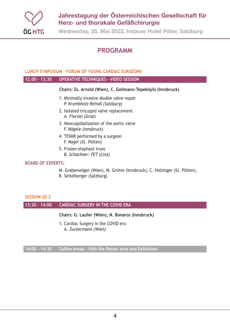

**Wednesday, 25. Mai 2022, Imlauer Hotel Pitter, Salzburg**

## **PROGRAMM**

#### **LUNCH SYMPOSIUM - FORUM OF YOUNG CARDIAC SURGEONS**

#### **12.00 – 13:30 OPERATIVE TECHNIQUES – VIDEO SESSION**

#### **Chairs: Zs. Arnold (Wien), C. Gollmann-Tepeköylü (Innsbruck)**

- 1. Minimally invasive double valve repair *P. Krombholz-Reindl (Salzburg)*
- 2. Isolated tricuspid valve replacement *A. Florian (Graz)*
- 3. Neocuspidalization of the aortic valve *F. Nägele (Innsbruck)*
- 4. TEVAR performed by a surgeon *F. Nagel (St. Pölten)*
- 5. Frozen elephant trunc *B. Schachner: FET (Linz)*

#### **BOARD OF EXPERTS:**

- M. Grabenwöger (Wien), M. Grimm (Innsbruck), C. Holzinger (St. Pölten),
- R. Seitelberger (Salzburg)

#### **SESSION QS 2**

#### **13:30 – 14:00 CARDIAC SURGERY IN THE COVID ERA**

#### **Chairs: G. Laufer (Wien), N. Bonaros (Innsbruck)**

1. Cardiac Surgery in the COVID era *A. Zuckermann (Wien)*

**14:00 – 14:30 Coffee break – Visit the Poster area and Exhibition**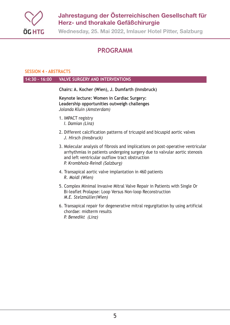

**Wednesday, 25. Mai 2022, Imlauer Hotel Pitter, Salzburg**

## **PROGRAMM**

#### **SESSION 4 - ABSTRACTS**

#### **14:30 – 16:00 VALVE SURGERY AND INTERVENTIONS**

**Chairs: A. Kocher (Wien), J. Dumfarth (Innsbruck)**

**Keynote lecture: Women in Cardiac Surgery: Leadership opportunities outweigh challenges** *Jolanda Kluin (Amsterdam)*

- 1. IMPACT registry *I. Damian (Linz)*
- 2. Different calcification patterns of tricuspid and bicuspid aortic valves *J. Hirsch (Innsbruck)*
- 3. Molecular analysis of fibrosis and implications on post-operative ventricular arrhythmias in patients undergoing surgery due to valvular aortic stenosis and left ventricular outflow tract obstruction *P. Krombholz-Reindl (Salzburg)*
- 4. Transapical aortic valve implantation in 460 patients *R. Moidl (Wien)*
- 5. Complex Minimal Invasive Mitral Valve Repair in Patients with Single Or Bi-leaflet Prolapse: Loop Versus Non-loop Reconstruction *M.E. Stelzmüller(Wien)*
- 6. Transapical repair for degenerative mitral regurgitation by using artificial chordae: midterm results *P. Benedikt (Linz)*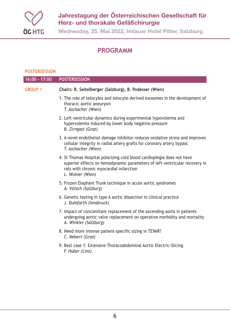

**Wednesday, 25. Mai 2022, Imlauer Hotel Pitter, Salzburg**

## **PROGRAMM**

#### **POSTERSESSION**

| 16:00 - 17:00  | <b>POSTERSESSION</b>                                                                                                                                                                                                |
|----------------|---------------------------------------------------------------------------------------------------------------------------------------------------------------------------------------------------------------------|
| <b>GROUP 1</b> | Chairs: R. Seitelberger (Salzburg), B. Podesser (Wien)                                                                                                                                                              |
|                | 1. The role of telocytes and telocyte-derived exosomes in the development of<br>thoracic aortic aneurysm<br>T. Aschacher (Wien)                                                                                     |
|                | 2. Left ventricular dynamics during experimental hypovolemia and<br>hypervolemia induced by lower body negative pressure<br>B. Zirngast (Graz)                                                                      |
|                | 3. A novel endothelial damage inhibitor reduces oxidative stress and improves<br>cellular integrity in radial artery grafts for coronary artery bypass<br>T. Aschacher (Wien)                                       |
|                | 4. St Thomas Hospital polarizing cold blood cardioplegia does not have<br>superior effects on hemodynamic parameters of left ventricular recovery in<br>rats with chronic myocardial infarction<br>L. Wolner (Wien) |
|                | 5. Frozen Elephant Trunk technique in acute aortic syndromes<br>A. Vötsch (Salzburg)                                                                                                                                |
|                | 6. Genetic testing in type A aortic dissection in clinical practice<br>J. Dumfarth (Innsbruck)                                                                                                                      |
|                | 7. Impact of concomitant replacement of the ascending aorta in patients<br>undergoing aortic valve replacement on operative morbidity and mortality<br>A. Winkler (Salzburg)                                        |
|                | 8. Need more intense patient-specific sizing in TEVAR?<br>C. Nebert (Graz)                                                                                                                                          |
|                | 9. Best case 1: Extensive Thoracoabdominal Aortic Electric-Slicing<br>F. Huber (Linz)                                                                                                                               |
|                |                                                                                                                                                                                                                     |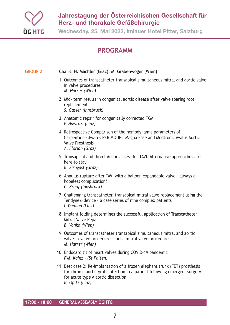

**Wednesday, 25. Mai 2022, Imlauer Hotel Pitter, Salzburg**

## **PROGRAMM**

#### **GROUP 2 Chairs: H. Mächler (Graz), M. Grabenwöger (Wien)**

- 1. Outcomes of transcatheter transapical simultaneous mitral and aortic valve in valve procedures *M. Harrer (Wien)*
- 2. Mid- term results in congenital aortic disease after valve sparing root replacement
	- *S. Gasser (Innsbruck)*
- 3. Anatomic repair for congenitally corrected TGA *P. Nawrozi (Linz)*
- 4. Retrospective Comparison of the hemodynamic parameters of Carpentier-Edwards PERIMOUNT Magna Ease and Medtronic Avalus Aortic Valve Prosthesis *A. Florian (Graz)*
- 5. Transapical and Direct Aortic access for TAVI: Alternative approaches are here to stay *B. Zirngast (Graz)*
- 6. Annulus rupture after TAVI with a balloon expandable valve always a hopeless complication? *C. Krapf (Innsbruck)*
- 7. Challenging transcatheter, transapical mitral valve replacement using the Tendyne© device – a case series of nine complex patients *I. Damian (Linz)*
- 8. Implant folding determines the successful application of Transcatheter Mitral Valve Repair *B. Vanko (Wien)*
- 9. Outcomes of transcatheter transapical simultaneous mitral and aortic valve-in-valve procedures aortic mitral valve procedures *M. Harrer (Wien)*
- 10. Endocarditis of heart valves during COVID-19 pandemic *F.M. Kainz - (St Pölten)*
- 11. Best case 2: Re-implantation of a frozen elephant trunk (FET) prosthesis for chronic aortic graft infection in a patient following emergent surgery for acute type A aortic dissection *B. Opitz (Linz)*

**17:00 – 18:00 GENERAL ASSEMBLY ÖGHTG**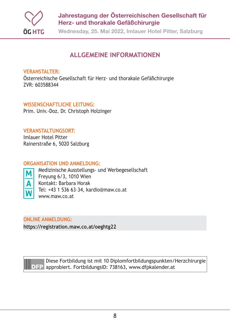

**Wednesday, 25. Mai 2022, Imlauer Hotel Pitter, Salzburg**

## **ALLGEMEINE INFORMATIONEN**

#### **VERANSTALTER:**

Österreichische Gesellschaft für Herz- und thorakale Gefäßchirurgie ZVR: 603588344

### **WISSENSCHAFTLICHE LEITUNG:**

Prim. Univ.-Doz. Dr. Christoph Holzinger

#### **VERANSTALTUNGSORT:**

Imlauer Hotel Pitter Rainerstraße 6, 5020 Salzburg

#### **ORGANISATION UND ANMELDUNG:**



Medizinische Ausstellungs- und Werbegesellschaft Freyung 6/3, 1010 Wien Kontakt: Barbara Horak Tel: +43 1 536 63–34, kardio@maw.co.at www.maw.co.at

## **ONLINE ANMELDUNG:**

**https://registration.maw.co.at/oeghtg22**



Diese Fortbildung ist mit 10 Diplomfortbildungspunkten/Herzchirurgie **DEP** approbiert. FortbildungsID: 738163, www.dfpkalender.at